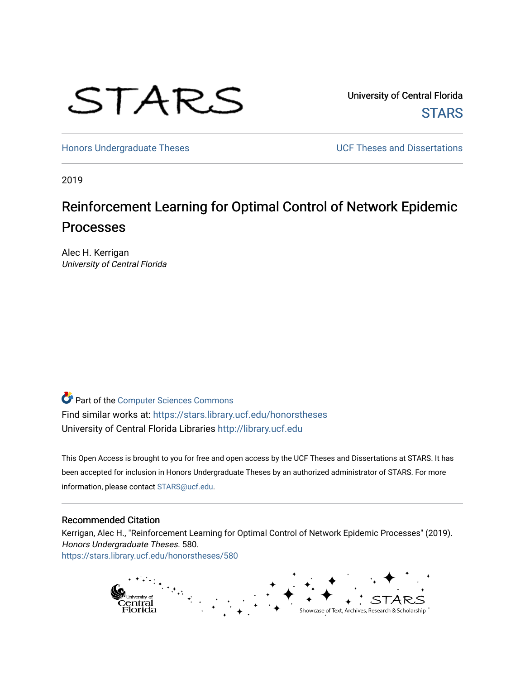

University of Central Florida **STARS** 

[Honors Undergraduate Theses](https://stars.library.ucf.edu/honorstheses) **Exercise 2018** UCF Theses and Dissertations

2019

# Reinforcement Learning for Optimal Control of Network Epidemic Processes

Alec H. Kerrigan University of Central Florida

Part of the [Computer Sciences Commons](http://network.bepress.com/hgg/discipline/142?utm_source=stars.library.ucf.edu%2Fhonorstheses%2F580&utm_medium=PDF&utm_campaign=PDFCoverPages) Find similar works at: <https://stars.library.ucf.edu/honorstheses> University of Central Florida Libraries [http://library.ucf.edu](http://library.ucf.edu/) 

This Open Access is brought to you for free and open access by the UCF Theses and Dissertations at STARS. It has been accepted for inclusion in Honors Undergraduate Theses by an authorized administrator of STARS. For more information, please contact [STARS@ucf.edu.](mailto:STARS@ucf.edu)

#### Recommended Citation

Kerrigan, Alec H., "Reinforcement Learning for Optimal Control of Network Epidemic Processes" (2019). Honors Undergraduate Theses. 580. [https://stars.library.ucf.edu/honorstheses/580](https://stars.library.ucf.edu/honorstheses/580?utm_source=stars.library.ucf.edu%2Fhonorstheses%2F580&utm_medium=PDF&utm_campaign=PDFCoverPages) 

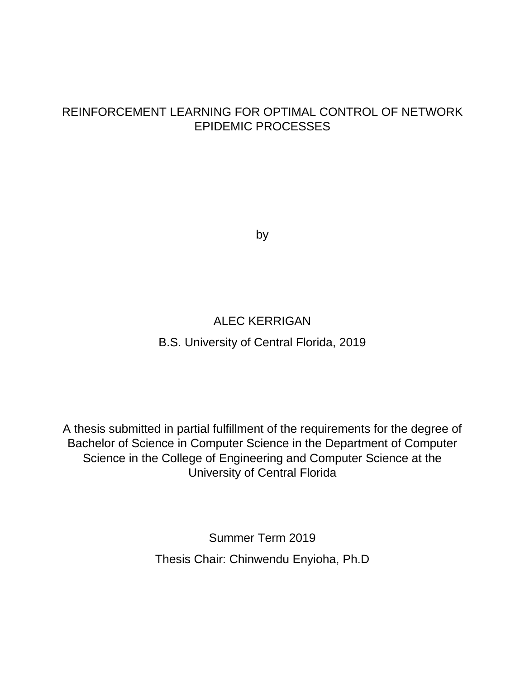## REINFORCEMENT LEARNING FOR OPTIMAL CONTROL OF NETWORK EPIDEMIC PROCESSES

by

## ALEC KERRIGAN

## B.S. University of Central Florida, 2019

A thesis submitted in partial fulfillment of the requirements for the degree of Bachelor of Science in Computer Science in the Department of Computer Science in the College of Engineering and Computer Science at the University of Central Florida

> Summer Term 2019 Thesis Chair: Chinwendu Enyioha, Ph.D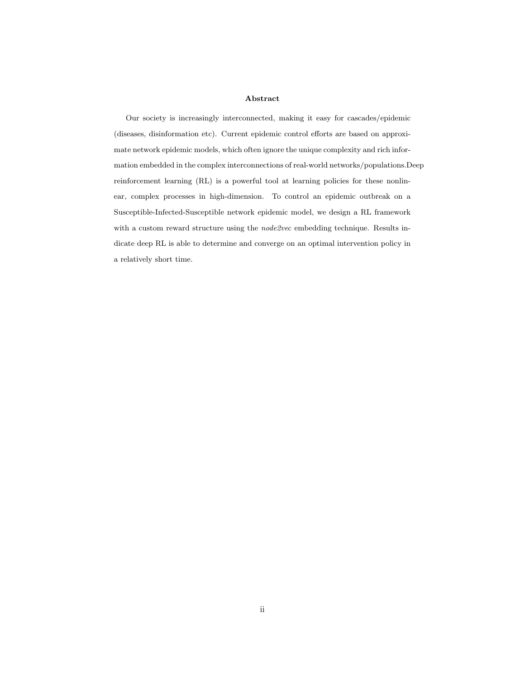#### Abstract

Our society is increasingly interconnected, making it easy for cascades/epidemic (diseases, disinformation etc). Current epidemic control efforts are based on approximate network epidemic models, which often ignore the unique complexity and rich information embedded in the complex interconnections of real-world networks/populations.Deep reinforcement learning (RL) is a powerful tool at learning policies for these nonlinear, complex processes in high-dimension. To control an epidemic outbreak on a Susceptible-Infected-Susceptible network epidemic model, we design a RL framework with a custom reward structure using the *node2vec* embedding technique. Results indicate deep RL is able to determine and converge on an optimal intervention policy in a relatively short time.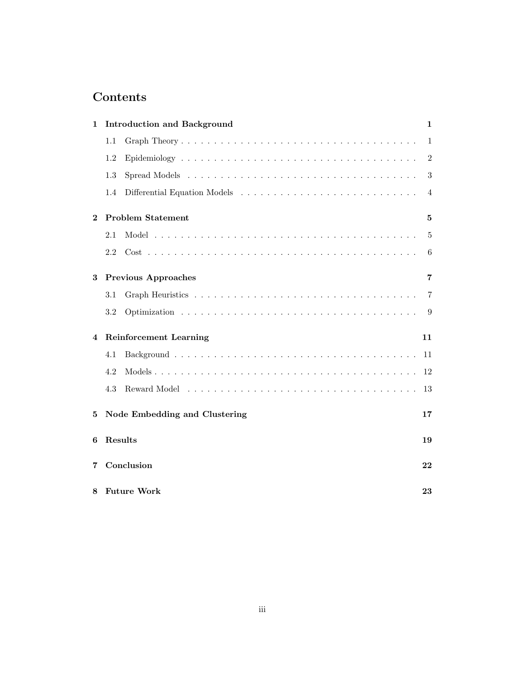## Contents

| 1                                  | <b>Introduction and Background</b> |                          | 1               |  |
|------------------------------------|------------------------------------|--------------------------|-----------------|--|
|                                    | 1.1                                |                          | 1               |  |
|                                    | 1.2                                |                          | 2               |  |
|                                    | 1.3                                |                          | 3               |  |
|                                    | 1.4                                |                          | 4               |  |
| $\mathbf 2$                        |                                    | <b>Problem Statement</b> |                 |  |
|                                    | 2.1                                |                          | 5               |  |
|                                    | 2.2                                |                          | $6\phantom{.}6$ |  |
| 3                                  | <b>Previous Approaches</b>         |                          | 7               |  |
|                                    | 3.1                                |                          | $\overline{7}$  |  |
|                                    | 3.2                                |                          | 9               |  |
| <b>Reinforcement Learning</b><br>4 |                                    |                          | 11              |  |
|                                    | 4.1                                |                          | 11              |  |
|                                    | 4.2                                |                          | 12              |  |
|                                    | 4.3                                |                          | 13              |  |
| 5                                  | Node Embedding and Clustering      |                          | 17              |  |
| 6                                  | Results                            |                          | 19              |  |
| 7                                  | Conclusion                         |                          |                 |  |
| 8                                  |                                    | <b>Future Work</b>       | 23              |  |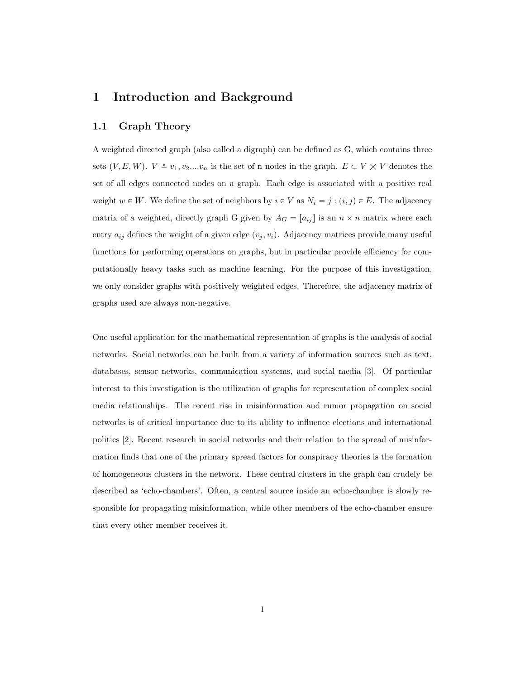### 1 Introduction and Background

#### 1.1 Graph Theory

A weighted directed graph (also called a digraph) can be defined as G, which contains three sets  $(V, E, W)$ .  $V \triangleq v_1, v_2...v_n$  is the set of n nodes in the graph.  $E \subset V \times V$  denotes the set of all edges connected nodes on a graph. Each edge is associated with a positive real weight  $w \in W$ . We define the set of neighbors by  $i \in V$  as  $N_i = j : (i, j) \in E$ . The adjacency matrix of a weighted, directly graph G given by  $A_G = [a_{ij}]$  is an  $n \times n$  matrix where each entry  $a_{ij}$  defines the weight of a given edge  $(v_j, v_i)$ . Adjacency matrices provide many useful functions for performing operations on graphs, but in particular provide efficiency for computationally heavy tasks such as machine learning. For the purpose of this investigation, we only consider graphs with positively weighted edges. Therefore, the adjacency matrix of graphs used are always non-negative.

One useful application for the mathematical representation of graphs is the analysis of social networks. Social networks can be built from a variety of information sources such as text, databases, sensor networks, communication systems, and social media [3]. Of particular interest to this investigation is the utilization of graphs for representation of complex social media relationships. The recent rise in misinformation and rumor propagation on social networks is of critical importance due to its ability to influence elections and international politics [2]. Recent research in social networks and their relation to the spread of misinformation finds that one of the primary spread factors for conspiracy theories is the formation of homogeneous clusters in the network. These central clusters in the graph can crudely be described as 'echo-chambers'. Often, a central source inside an echo-chamber is slowly responsible for propagating misinformation, while other members of the echo-chamber ensure that every other member receives it.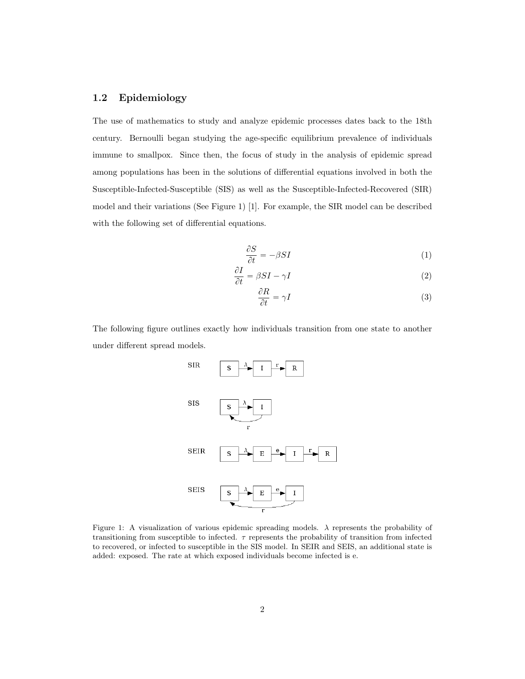#### 1.2 Epidemiology

The use of mathematics to study and analyze epidemic processes dates back to the 18th century. Bernoulli began studying the age-specific equilibrium prevalence of individuals immune to smallpox. Since then, the focus of study in the analysis of epidemic spread among populations has been in the solutions of differential equations involved in both the Susceptible-Infected-Susceptible (SIS) as well as the Susceptible-Infected-Recovered (SIR) model and their variations (See Figure 1) [1]. For example, the SIR model can be described with the following set of differential equations.

$$
\frac{\partial S}{\partial t} = -\beta SI \tag{1}
$$

$$
\frac{\partial I}{\partial t} = \beta SI - \gamma I \tag{2}
$$

$$
\frac{\partial R}{\partial t} = \gamma I \tag{3}
$$

The following figure outlines exactly how individuals transition from one state to another under different spread models.



Figure 1: A visualization of various epidemic spreading models. λ represents the probability of transitioning from susceptible to infected.  $\tau$  represents the probability of transition from infected to recovered, or infected to susceptible in the SIS model. In SEIR and SEIS, an additional state is added: exposed. The rate at which exposed individuals become infected is e.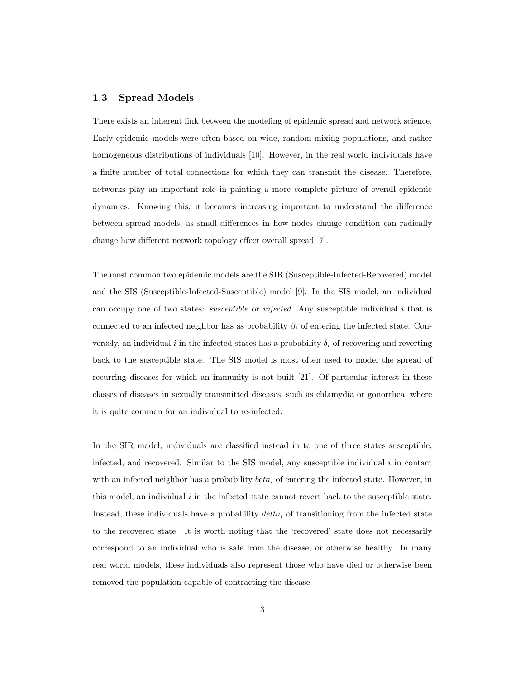#### 1.3 Spread Models

There exists an inherent link between the modeling of epidemic spread and network science. Early epidemic models were often based on wide, random-mixing populations, and rather homogeneous distributions of individuals [10]. However, in the real world individuals have a finite number of total connections for which they can transmit the disease. Therefore, networks play an important role in painting a more complete picture of overall epidemic dynamics. Knowing this, it becomes increasing important to understand the difference between spread models, as small differences in how nodes change condition can radically change how different network topology effect overall spread [7].

The most common two epidemic models are the SIR (Susceptible-Infected-Recovered) model and the SIS (Susceptible-Infected-Susceptible) model [9]. In the SIS model, an individual can occupy one of two states: *susceptible* or *infected*. Any susceptible individual  $i$  that is connected to an infected neighbor has as probability  $\beta_i$  of entering the infected state. Conversely, an individual i in the infected states has a probability  $\delta_i$  of recovering and reverting back to the susceptible state. The SIS model is most often used to model the spread of recurring diseases for which an immunity is not built [21]. Of particular interest in these classes of diseases in sexually transmitted diseases, such as chlamydia or gonorrhea, where it is quite common for an individual to re-infected.

In the SIR model, individuals are classified instead in to one of three states susceptible, infected, and recovered. Similar to the SIS model, any susceptible individual  $i$  in contact with an infected neighbor has a probability  $beta_i$  of entering the infected state. However, in this model, an individual  $i$  in the infected state cannot revert back to the susceptible state. Instead, these individuals have a probability  $delta_i$  of transitioning from the infected state to the recovered state. It is worth noting that the 'recovered' state does not necessarily correspond to an individual who is safe from the disease, or otherwise healthy. In many real world models, these individuals also represent those who have died or otherwise been removed the population capable of contracting the disease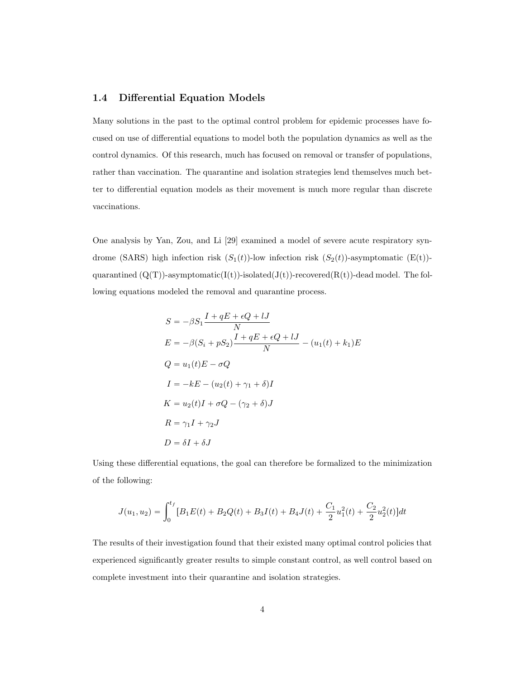#### 1.4 Differential Equation Models

Many solutions in the past to the optimal control problem for epidemic processes have focused on use of differential equations to model both the population dynamics as well as the control dynamics. Of this research, much has focused on removal or transfer of populations, rather than vaccination. The quarantine and isolation strategies lend themselves much better to differential equation models as their movement is much more regular than discrete vaccinations.

One analysis by Yan, Zou, and Li [29] examined a model of severe acute respiratory syndrome (SARS) high infection risk  $(S_1(t))$ -low infection risk  $(S_2(t))$ -asymptomatic (E(t))quarantined  $(Q(T))$ -asymptomatic( $I(t)$ )-isolated( $J(t)$ )-recovered( $R(t)$ )-dead model. The following equations modeled the removal and quarantine process.

$$
S = -\beta S_1 \frac{I + qE + \epsilon Q + lJ}{N}
$$
  
\n
$$
E = -\beta (S_i + pS_2) \frac{I + qE + \epsilon Q + lJ}{N} - (u_1(t) + k_1)E
$$
  
\n
$$
Q = u_1(t)E - \sigma Q
$$
  
\n
$$
I = -kE - (u_2(t) + \gamma_1 + \delta)I
$$
  
\n
$$
K = u_2(t)I + \sigma Q - (\gamma_2 + \delta)J
$$
  
\n
$$
R = \gamma_1 I + \gamma_2 J
$$
  
\n
$$
D = \delta I + \delta J
$$

Using these differential equations, the goal can therefore be formalized to the minimization of the following:

$$
J(u_1, u_2) = \int_0^{t_f} [B_1 E(t) + B_2 Q(t) + B_3 I(t) + B_4 J(t) + \frac{C_1}{2} u_1^2(t) + \frac{C_2}{2} u_2^2(t)] dt
$$

The results of their investigation found that their existed many optimal control policies that experienced significantly greater results to simple constant control, as well control based on complete investment into their quarantine and isolation strategies.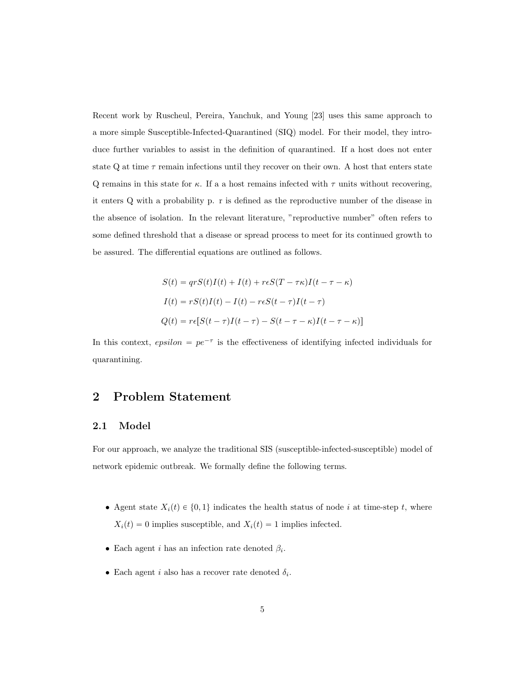Recent work by Ruscheul, Pereira, Yanchuk, and Young [23] uses this same approach to a more simple Susceptible-Infected-Quarantined (SIQ) model. For their model, they introduce further variables to assist in the definition of quarantined. If a host does not enter state Q at time  $\tau$  remain infections until they recover on their own. A host that enters state Q remains in this state for  $\kappa$ . If a a host remains infected with  $\tau$  units without recovering, it enters Q with a probability p. r is defined as the reproductive number of the disease in the absence of isolation. In the relevant literature, "reproductive number" often refers to some defined threshold that a disease or spread process to meet for its continued growth to be assured. The differential equations are outlined as follows.

$$
S(t) = qrS(t)I(t) + I(t) + r\epsilon S(T - \tau\kappa)I(t - \tau - \kappa)
$$
  
\n
$$
I(t) = rS(t)I(t) - I(t) - r\epsilon S(t - \tau)I(t - \tau)
$$
  
\n
$$
Q(t) = r\epsilon[S(t - \tau)I(t - \tau) - S(t - \tau - \kappa)I(t - \tau - \kappa)]
$$

In this context,  $epsilon$  =  $pe^{-\tau}$  is the effectiveness of identifying infected individuals for quarantining.

## 2 Problem Statement

#### 2.1 Model

For our approach, we analyze the traditional SIS (susceptible-infected-susceptible) model of network epidemic outbreak. We formally define the following terms.

- Agent state  $X_i(t) \in \{0, 1\}$  indicates the health status of node i at time-step t, where  $X_i(t) = 0$  implies susceptible, and  $X_i(t) = 1$  implies infected.
- Each agent *i* has an infection rate denoted  $\beta_i$ .
- Each agent *i* also has a recover rate denoted  $\delta_i$ .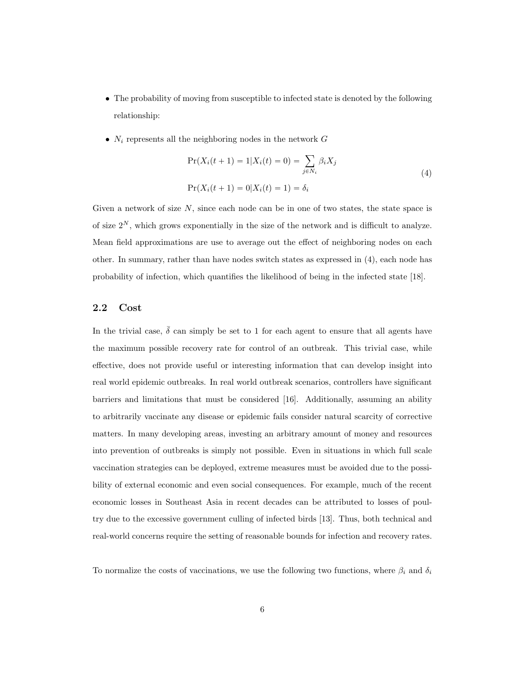- The probability of moving from susceptible to infected state is denoted by the following relationship:
- $N_i$  represents all the neighboring nodes in the network  $G$

$$
Pr(X_i(t + 1) = 1 | X_i(t) = 0) = \sum_{j \in N_i} \beta_i X_j
$$
  
\n
$$
Pr(X_i(t + 1) = 0 | X_i(t) = 1) = \delta_i
$$
\n(4)

Given a network of size  $N$ , since each node can be in one of two states, the state space is of size  $2^N$ , which grows exponentially in the size of the network and is difficult to analyze. Mean field approximations are use to average out the effect of neighboring nodes on each other. In summary, rather than have nodes switch states as expressed in (4), each node has probability of infection, which quantifies the likelihood of being in the infected state [18].

#### 2.2 Cost

In the trivial case,  $\bar{\delta}$  can simply be set to 1 for each agent to ensure that all agents have the maximum possible recovery rate for control of an outbreak. This trivial case, while effective, does not provide useful or interesting information that can develop insight into real world epidemic outbreaks. In real world outbreak scenarios, controllers have significant barriers and limitations that must be considered [16]. Additionally, assuming an ability to arbitrarily vaccinate any disease or epidemic fails consider natural scarcity of corrective matters. In many developing areas, investing an arbitrary amount of money and resources into prevention of outbreaks is simply not possible. Even in situations in which full scale vaccination strategies can be deployed, extreme measures must be avoided due to the possibility of external economic and even social consequences. For example, much of the recent economic losses in Southeast Asia in recent decades can be attributed to losses of poultry due to the excessive government culling of infected birds [13]. Thus, both technical and real-world concerns require the setting of reasonable bounds for infection and recovery rates.

To normalize the costs of vaccinations, we use the following two functions, where  $\beta_i$  and  $\delta_i$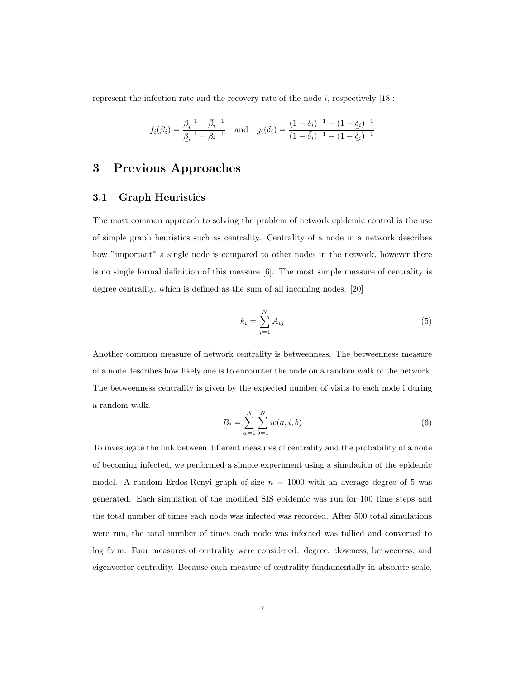represent the infection rate and the recovery rate of the node  $i$ , respectively [18]:

$$
f_i(\beta_i) = \frac{\beta_i^{-1} - \bar{\beta}_i^{-1}}{\underline{\beta}_i^{-1} - \bar{\beta}_i^{-1}} \quad \text{and} \quad g_i(\delta_i) = \frac{(1 - \delta_i)^{-1} - (1 - \underline{\delta}_i)^{-1}}{(1 - \bar{\delta}_i)^{-1} - (1 - \underline{\delta}_i)^{-1}}
$$

### 3 Previous Approaches

#### 3.1 Graph Heuristics

The most common approach to solving the problem of network epidemic control is the use of simple graph heuristics such as centrality. Centrality of a node in a network describes how "important" a single node is compared to other nodes in the network, however there is no single formal definition of this measure [6]. The most simple measure of centrality is degree centrality, which is defined as the sum of all incoming nodes. [20]

$$
k_i = \sum_{j=1}^{N} A_{ij} \tag{5}
$$

Another common measure of network centrality is betweenness. The betweenness measure of a node describes how likely one is to encounter the node on a random walk of the network. The betweenness centrality is given by the expected number of visits to each node i during a random walk.

$$
B_i = \sum_{a=1}^{N} \sum_{b=1}^{N} w(a, i, b)
$$
 (6)

To investigate the link between different measures of centrality and the probability of a node of becoming infected, we performed a simple experiment using a simulation of the epidemic model. A random Erdos-Renyi graph of size  $n = 1000$  with an average degree of 5 was generated. Each simulation of the modified SIS epidemic was run for 100 time steps and the total number of times each node was infected was recorded. After 500 total simulations were run, the total number of times each node was infected was tallied and converted to log form. Four measures of centrality were considered: degree, closeness, betweeness, and eigenvector centrality. Because each measure of centrality fundamentally in absolute scale,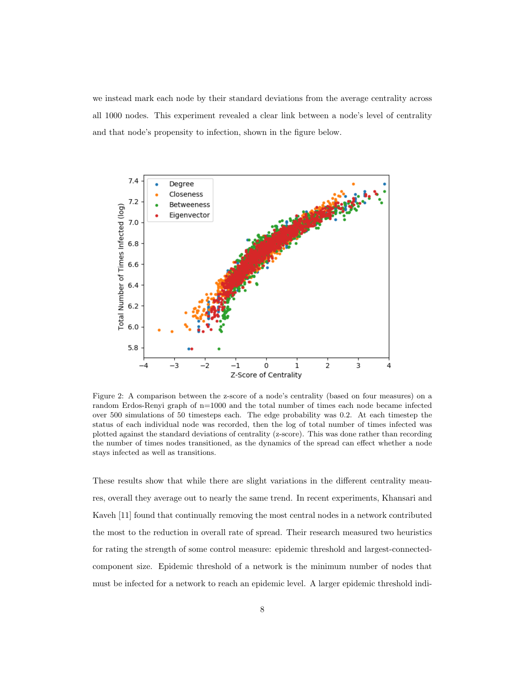we instead mark each node by their standard deviations from the average centrality across all 1000 nodes. This experiment revealed a clear link between a node's level of centrality and that node's propensity to infection, shown in the figure below.



Figure 2: A comparison between the z-score of a node's centrality (based on four measures) on a random Erdos-Renyi graph of n=1000 and the total number of times each node became infected over 500 simulations of 50 timesteps each. The edge probability was 0.2. At each timestep the status of each individual node was recorded, then the log of total number of times infected was plotted against the standard deviations of centrality (z-score). This was done rather than recording the number of times nodes transitioned, as the dynamics of the spread can effect whether a node stays infected as well as transitions.

These results show that while there are slight variations in the different centrality meaures, overall they average out to nearly the same trend. In recent experiments, Khansari and Kaveh [11] found that continually removing the most central nodes in a network contributed the most to the reduction in overall rate of spread. Their research measured two heuristics for rating the strength of some control measure: epidemic threshold and largest-connectedcomponent size. Epidemic threshold of a network is the minimum number of nodes that must be infected for a network to reach an epidemic level. A larger epidemic threshold indi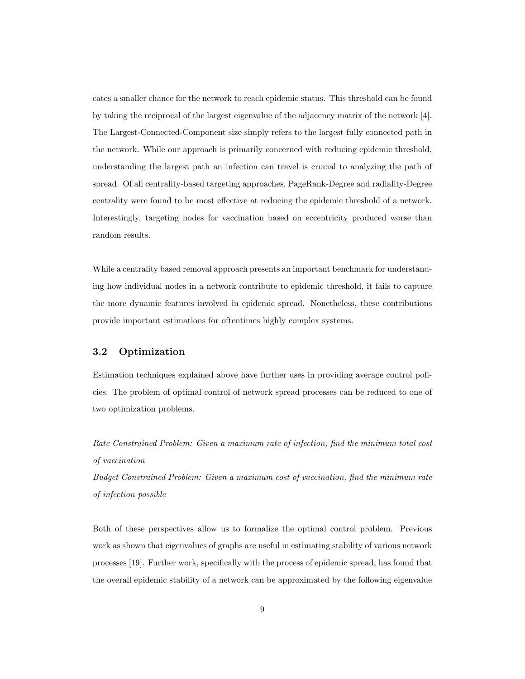cates a smaller chance for the network to reach epidemic status. This threshold can be found by taking the reciprocal of the largest eigenvalue of the adjacency matrix of the network [4]. The Largest-Connected-Component size simply refers to the largest fully connected path in the network. While our approach is primarily concerned with reducing epidemic threshold, understanding the largest path an infection can travel is crucial to analyzing the path of spread. Of all centrality-based targeting approaches, PageRank-Degree and radiality-Degree centrality were found to be most effective at reducing the epidemic threshold of a network. Interestingly, targeting nodes for vaccination based on eccentricity produced worse than random results.

While a centrality based removal approach presents an important benchmark for understanding how individual nodes in a network contribute to epidemic threshold, it fails to capture the more dynamic features involved in epidemic spread. Nonetheless, these contributions provide important estimations for oftentimes highly complex systems.

#### 3.2 Optimization

Estimation techniques explained above have further uses in providing average control policies. The problem of optimal control of network spread processes can be reduced to one of two optimization problems.

Rate Constrained Problem: Given a maximum rate of infection, find the minimum total cost of vaccination

Budget Constrained Problem: Given a maximum cost of vaccination, find the minimum rate of infection possible

Both of these perspectives allow us to formalize the optimal control problem. Previous work as shown that eigenvalues of graphs are useful in estimating stability of various network processes [19]. Further work, specifically with the process of epidemic spread, has found that the overall epidemic stability of a network can be approximated by the following eigenvalue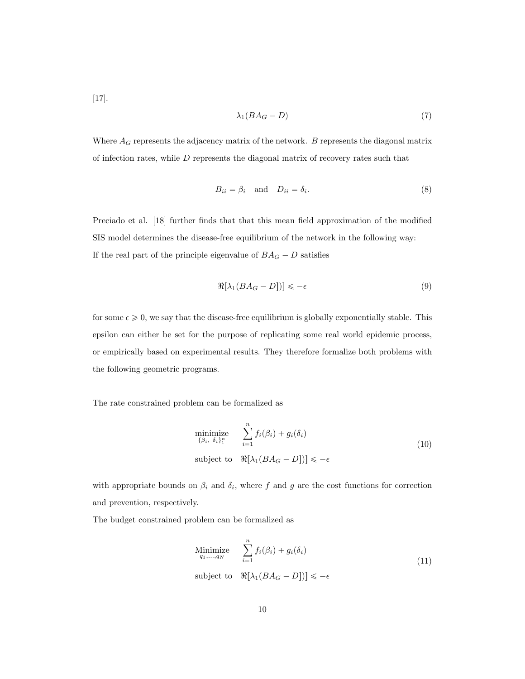[17].

$$
\lambda_1 (BA_G - D) \tag{7}
$$

Where  $A_G$  represents the adjacency matrix of the network.  $B$  represents the diagonal matrix of infection rates, while  $D$  represents the diagonal matrix of recovery rates such that

$$
B_{ii} = \beta_i \quad \text{and} \quad D_{ii} = \delta_i. \tag{8}
$$

Preciado et al. [18] further finds that that this mean field approximation of the modified SIS model determines the disease-free equilibrium of the network in the following way: If the real part of the principle eigenvalue of  $BA_G - D$  satisfies

$$
\Re[\lambda_1(BA_G - D])] \le -\epsilon \tag{9}
$$

for some  $\epsilon \geq 0$ , we say that the disease-free equilibrium is globally exponentially stable. This epsilon can either be set for the purpose of replicating some real world epidemic process, or empirically based on experimental results. They therefore formalize both problems with the following geometric programs.

The rate constrained problem can be formalized as

$$
\begin{array}{ll}\n\text{minimize} & \sum_{i=1}^{n} f_i(\beta_i) + g_i(\delta_i) \\
\text{subject to} & \Re[\lambda_1(BA_G - D])] \leq -\epsilon\n\end{array} \tag{10}
$$

with appropriate bounds on  $\beta_i$  and  $\delta_i$ , where f and g are the cost functions for correction and prevention, respectively.

The budget constrained problem can be formalized as

Minimize 
$$
\sum_{i=1}^{n} f_i(\beta_i) + g_i(\delta_i)
$$
  
subject to  $\Re[\lambda_1(BA_G - D])] \le -\epsilon$  (11)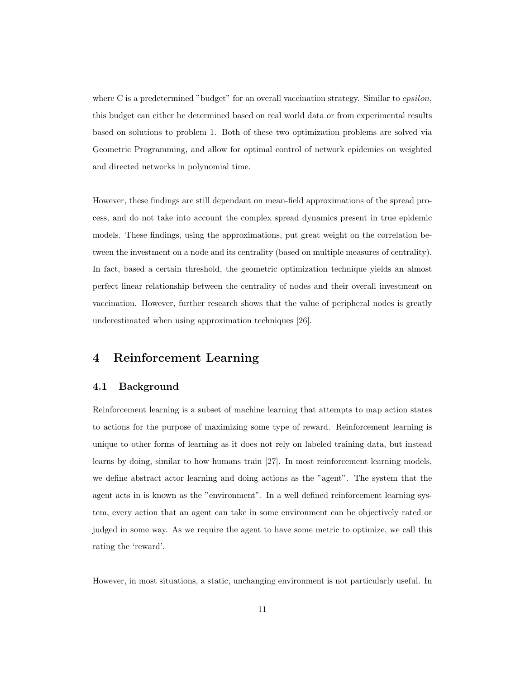where C is a predetermined "budget" for an overall vaccination strategy. Similar to *epsilon*, this budget can either be determined based on real world data or from experimental results based on solutions to problem 1. Both of these two optimization problems are solved via Geometric Programming, and allow for optimal control of network epidemics on weighted and directed networks in polynomial time.

However, these findings are still dependant on mean-field approximations of the spread process, and do not take into account the complex spread dynamics present in true epidemic models. These findings, using the approximations, put great weight on the correlation between the investment on a node and its centrality (based on multiple measures of centrality). In fact, based a certain threshold, the geometric optimization technique yields an almost perfect linear relationship between the centrality of nodes and their overall investment on vaccination. However, further research shows that the value of peripheral nodes is greatly underestimated when using approximation techniques [26].

## 4 Reinforcement Learning

#### 4.1 Background

Reinforcement learning is a subset of machine learning that attempts to map action states to actions for the purpose of maximizing some type of reward. Reinforcement learning is unique to other forms of learning as it does not rely on labeled training data, but instead learns by doing, similar to how humans train [27]. In most reinforcement learning models, we define abstract actor learning and doing actions as the "agent". The system that the agent acts in is known as the "environment". In a well defined reinforcement learning system, every action that an agent can take in some environment can be objectively rated or judged in some way. As we require the agent to have some metric to optimize, we call this rating the 'reward'.

However, in most situations, a static, unchanging environment is not particularly useful. In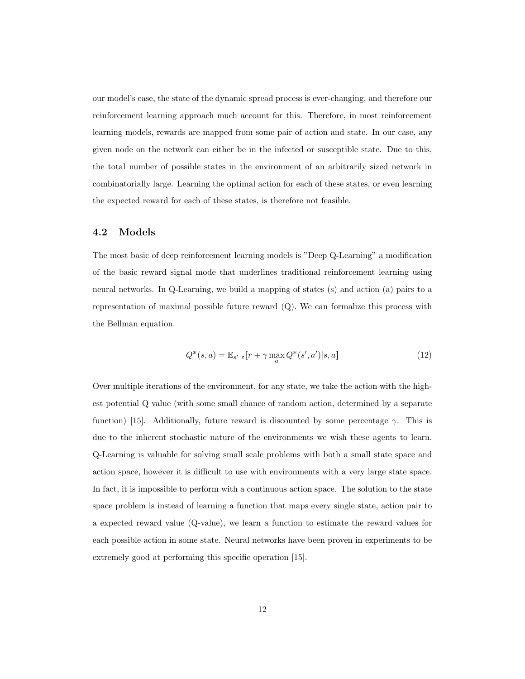our model's case, the state of the dynamic spread process is ever-changing, and therefore our reinforcement learning approach much account for this. Therefore, in most reinforcement learning models, rewards are mapped from some pair of action and state. In our case, any given node on the network can either be in the infected or susceptible state. Due to this, the total number of possible states in the environment of an arbitrarily sized network in combinatorially large. Learning the optimal action for each of these states, or even learning the expected reward for each of these states, is therefore not feasible.

#### 4.2 Models

The most basic of deep reinforcement learning models is "Deep Q-Learning" a modification of the basic reward signal mode that underlines traditional reinforcement learning using neural networks. In Q-Learning, we build a mapping of states (s) and action (a) pairs to a representation of maximal possible future reward (Q). We can formalize this process with the Bellman equation.

$$
Q^*(s, a) = \mathbb{E}_{s' \in [r + \gamma \max_a Q^*(s', a')]s, a]
$$
\n(12)

Over multiple iterations of the environment, for any state, we take the action with the highest potential Q value (with some small chance of random action, determined by a separate function) [15]. Additionally, future reward is discounted by some percentage  $\gamma$ . This is due to the inherent stochastic nature of the environments we wish these agents to learn. Q-Learning is valuable for solving small scale problems with both a small state space and action space, however it is difficult to use with environments with a very large state space. In fact, it is impossible to perform with a continuous action space. The solution to the state space problem is instead of learning a function that maps every single state, action pair to a expected reward value (Q-value), we learn a function to estimate the reward values for each possible action in some state. Neural networks have been proven in experiments to be extremely good at performing this specific operation [15].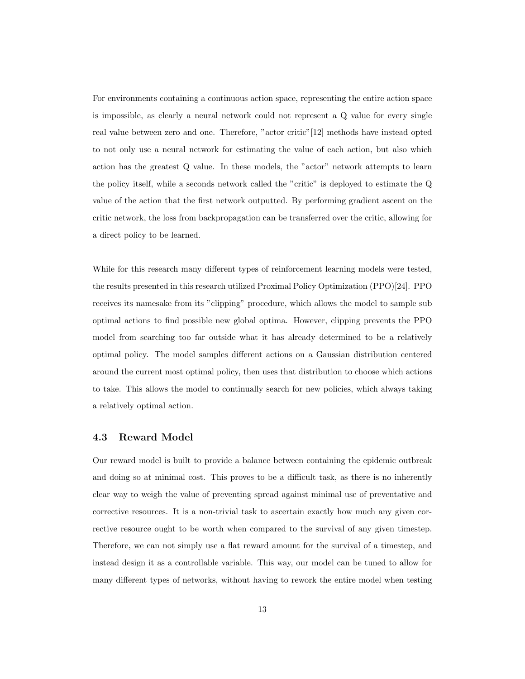For environments containing a continuous action space, representing the entire action space is impossible, as clearly a neural network could not represent a Q value for every single real value between zero and one. Therefore, "actor critic"[12] methods have instead opted to not only use a neural network for estimating the value of each action, but also which action has the greatest Q value. In these models, the "actor" network attempts to learn the policy itself, while a seconds network called the "critic" is deployed to estimate the Q value of the action that the first network outputted. By performing gradient ascent on the critic network, the loss from backpropagation can be transferred over the critic, allowing for a direct policy to be learned.

While for this research many different types of reinforcement learning models were tested, the results presented in this research utilized Proximal Policy Optimization (PPO)[24]. PPO receives its namesake from its "clipping" procedure, which allows the model to sample sub optimal actions to find possible new global optima. However, clipping prevents the PPO model from searching too far outside what it has already determined to be a relatively optimal policy. The model samples different actions on a Gaussian distribution centered around the current most optimal policy, then uses that distribution to choose which actions to take. This allows the model to continually search for new policies, which always taking a relatively optimal action.

#### 4.3 Reward Model

Our reward model is built to provide a balance between containing the epidemic outbreak and doing so at minimal cost. This proves to be a difficult task, as there is no inherently clear way to weigh the value of preventing spread against minimal use of preventative and corrective resources. It is a non-trivial task to ascertain exactly how much any given corrective resource ought to be worth when compared to the survival of any given timestep. Therefore, we can not simply use a flat reward amount for the survival of a timestep, and instead design it as a controllable variable. This way, our model can be tuned to allow for many different types of networks, without having to rework the entire model when testing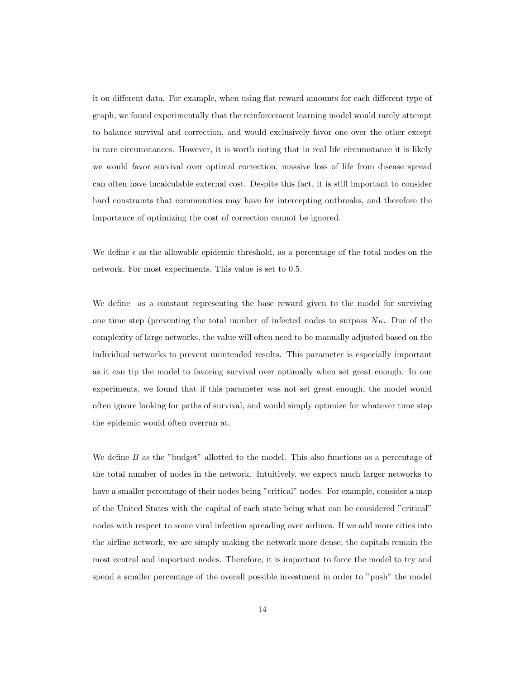it on different data. For example, when using flat reward amounts for each different type of graph, we found experimentally that the reinforcement learning model would rarely attempt to balance survival and correction, and would exclusively favor one over the other except in rare circumstances. However, it is worth noting that in real life circumstance it is likely we would favor survival over optimal correction, massive loss of life from disease spread can often have incalculable external cost. Despite this fact, it is still important to consider hard constraints that communities may have for intercepting outbreaks, and therefore the importance of optimizing the cost of correction cannot be ignored.

We define  $\epsilon$  as the allowable epidemic threshold, as a percentage of the total nodes on the network. For most experiments, This value is set to 0.5.

We define as a constant representing the base reward given to the model for surviving one time step (preventing the total number of infected nodes to surpass  $N\kappa$ . Due of the complexity of large networks, the value will often need to be manually adjusted based on the individual networks to prevent unintended results. This parameter is especially important as it can tip the model to favoring survival over optimally when set great enough. In our experiments, we found that if this parameter was not set great enough, the model would often ignore looking for paths of survival, and would simply optimize for whatever time step the epidemic would often overrun at.

We define  $B$  as the "budget" allotted to the model. This also functions as a percentage of the total number of nodes in the network. Intuitively, we expect much larger networks to have a smaller percentage of their nodes being "critical" nodes. For example, consider a map of the United States with the capital of each state being what can be considered "critical" nodes with respect to some viral infection spreading over airlines. If we add more cities into the airline network, we are simply making the network more dense, the capitals remain the most central and important nodes. Therefore, it is important to force the model to try and spend a smaller percentage of the overall possible investment in order to "push" the model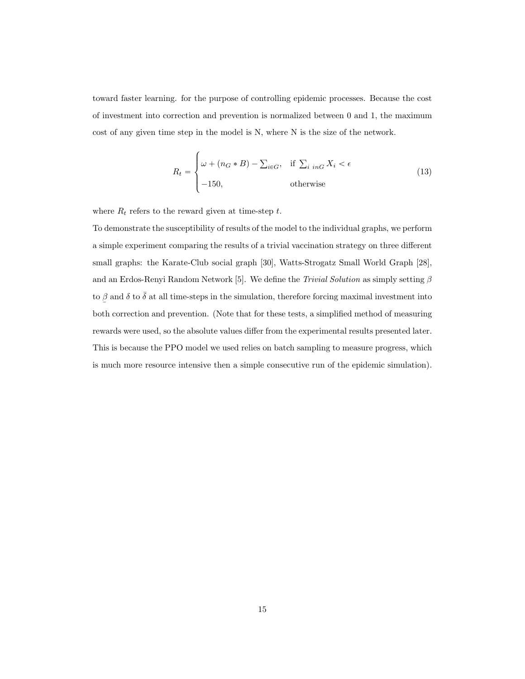toward faster learning. for the purpose of controlling epidemic processes. Because the cost of investment into correction and prevention is normalized between 0 and 1, the maximum cost of any given time step in the model is N, where N is the size of the network.

$$
R_{t} = \begin{cases} \omega + (n_{G} * B) - \sum_{i \in G}, & \text{if } \sum_{i \in G} X_{i} < \epsilon \\ -150, & \text{otherwise} \end{cases}
$$
(13)

where  $R_t$  refers to the reward given at time-step  $t$ .

To demonstrate the susceptibility of results of the model to the individual graphs, we perform a simple experiment comparing the results of a trivial vaccination strategy on three different small graphs: the Karate-Club social graph [30], Watts-Strogatz Small World Graph [28], and an Erdos-Renyi Random Network [5]. We define the Trivial Solution as simply setting  $\beta$ to  $\overline{a}$ β and δ to  $\bar{\delta}$  at all time-steps in the simulation, therefore forcing maximal investment into both correction and prevention. (Note that for these tests, a simplified method of measuring rewards were used, so the absolute values differ from the experimental results presented later. This is because the PPO model we used relies on batch sampling to measure progress, which is much more resource intensive then a simple consecutive run of the epidemic simulation).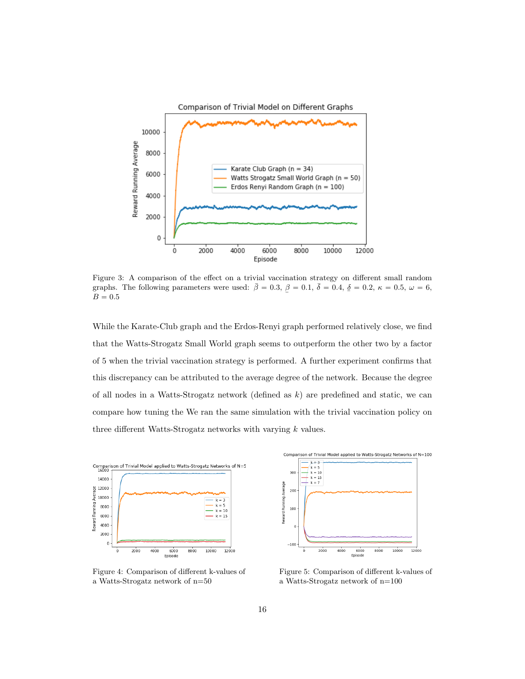

Figure 3: A comparison of the effect on a trivial vaccination strategy on different small random graphs. The following parameters were used:  $\bar{\beta} = 0.3$ ,  $\bar{\beta} = 0.1$ ,  $\bar{\delta} = 0.4$ ,  $\bar{\delta} = 0.2$ ,  $\kappa = 0.5$ ,  $\omega = 6$ ,  $B = 0.5$  $B = 0.5\,$ 

While the Karate-Club graph and the Erdos-Renyi graph performed relatively close, we find that the Watts-Strogatz Small World graph seems to outperform the other two by a factor of 5 when the trivial vaccination strategy is performed. A further experiment confirms that this discrepancy can be attributed to the average degree of the network. Because the degree of all nodes in a Watts-Strogatz network (defined as  $k$ ) are predefined and static, we can compare how tuning the We ran the same simulation with the trivial vaccination policy on three different Watts-Strogatz networks with varying k values.



Figure 4: Comparison of different k-values of a Watts-Strogatz network of n=50



Figure 5: Comparison of different k-values of a Watts-Strogatz network of n=100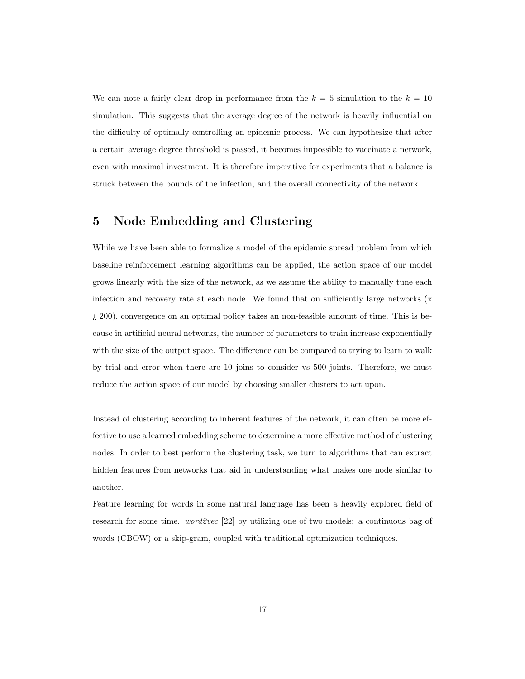We can note a fairly clear drop in performance from the  $k = 5$  simulation to the  $k = 10$ simulation. This suggests that the average degree of the network is heavily influential on the difficulty of optimally controlling an epidemic process. We can hypothesize that after a certain average degree threshold is passed, it becomes impossible to vaccinate a network, even with maximal investment. It is therefore imperative for experiments that a balance is struck between the bounds of the infection, and the overall connectivity of the network.

### 5 Node Embedding and Clustering

While we have been able to formalize a model of the epidemic spread problem from which baseline reinforcement learning algorithms can be applied, the action space of our model grows linearly with the size of the network, as we assume the ability to manually tune each infection and recovery rate at each node. We found that on sufficiently large networks (x ¿ 200), convergence on an optimal policy takes an non-feasible amount of time. This is because in artificial neural networks, the number of parameters to train increase exponentially with the size of the output space. The difference can be compared to trying to learn to walk by trial and error when there are 10 joins to consider vs 500 joints. Therefore, we must reduce the action space of our model by choosing smaller clusters to act upon.

Instead of clustering according to inherent features of the network, it can often be more effective to use a learned embedding scheme to determine a more effective method of clustering nodes. In order to best perform the clustering task, we turn to algorithms that can extract hidden features from networks that aid in understanding what makes one node similar to another.

Feature learning for words in some natural language has been a heavily explored field of research for some time. *word2vec* [22] by utilizing one of two models: a continuous bag of words (CBOW) or a skip-gram, coupled with traditional optimization techniques.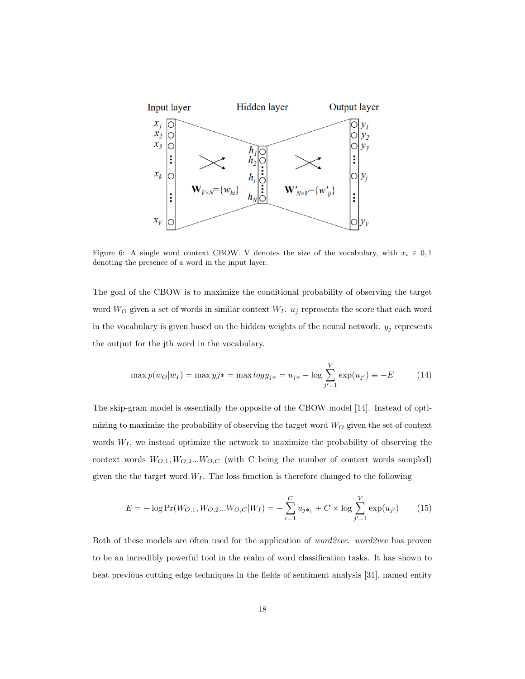

Figure 6: A single word context CBOW. V denotes the size of the vocabulary, with  $x_i \in 0, 1$ denoting the presence of a word in the input layer.

The goal of the CBOW is to maximize the conditional probability of observing the target word  $W_O$  given a set of words in similar context  $W_I$ .  $u_j$  represents the score that each word in the vocabulary is given based on the hidden weights of the neural network.  $y_j$  represents the output for the jth word in the vocabulary.

$$
\max p(w_O|w_I) = \max yj* = \max logy_{j*} = u_{j*} - \log \sum_{j'=1}^{V} \exp(u_{j'}) = -E
$$
 (14)

The skip-gram model is essentially the opposite of the CBOW model [14]. Instead of optimizing to maximize the probability of observing the target word  $W_O$  given the set of context words  $W_I$ , we instead optimize the network to maximize the probability of observing the context words  $W_{O,1}, W_{O,2}...W_{O,C}$  (with C being the number of context words sampled) given the the target word  $W_I$ . The loss function is therefore changed to the following

$$
E = -\log \Pr(W_{O,1}, W_{O,2}...W_{O,C}|W_I) = -\sum_{c=1}^{C} u_{j*_{c}} + C \times \log \sum_{j'=1}^{V} \exp(u_{j'}) \tag{15}
$$

Both of these models are often used for the application of *word2vec. word2vec* has proven to be an incredibly powerful tool in the realm of word classification tasks. It has shown to beat previous cutting edge techniques in the fields of sentiment analysis [31], named entity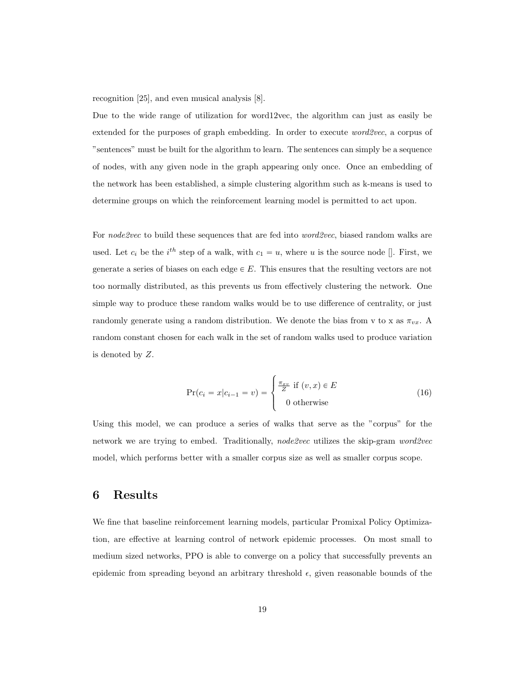recognition [25], and even musical analysis [8].

Due to the wide range of utilization for word12vec, the algorithm can just as easily be extended for the purposes of graph embedding. In order to execute *word2vec*, a corpus of "sentences" must be built for the algorithm to learn. The sentences can simply be a sequence of nodes, with any given node in the graph appearing only once. Once an embedding of the network has been established, a simple clustering algorithm such as k-means is used to determine groups on which the reinforcement learning model is permitted to act upon.

For *node2vec* to build these sequences that are fed into *word2vec*, biased random walks are used. Let  $c_i$  be the  $i^{th}$  step of a walk, with  $c_1 = u$ , where u is the source node []. First, we generate a series of biases on each edge  $\in E$ . This ensures that the resulting vectors are not too normally distributed, as this prevents us from effectively clustering the network. One simple way to produce these random walks would be to use difference of centrality, or just randomly generate using a random distribution. We denote the bias from v to x as  $\pi_{vx}$ . A random constant chosen for each walk in the set of random walks used to produce variation is denoted by Z.

$$
\Pr(c_i = x | c_{i-1} = v) = \begin{cases} \frac{\pi_{xy}}{Z} & \text{if } (v, x) \in E \\ 0 & \text{otherwise} \end{cases}
$$
 (16)

Using this model, we can produce a series of walks that serve as the "corpus" for the network we are trying to embed. Traditionally, *node2vec* utilizes the skip-gram *word2vec* model, which performs better with a smaller corpus size as well as smaller corpus scope.

## 6 Results

We fine that baseline reinforcement learning models, particular Promixal Policy Optimization, are effective at learning control of network epidemic processes. On most small to medium sized networks, PPO is able to converge on a policy that successfully prevents an epidemic from spreading beyond an arbitrary threshold  $\epsilon$ , given reasonable bounds of the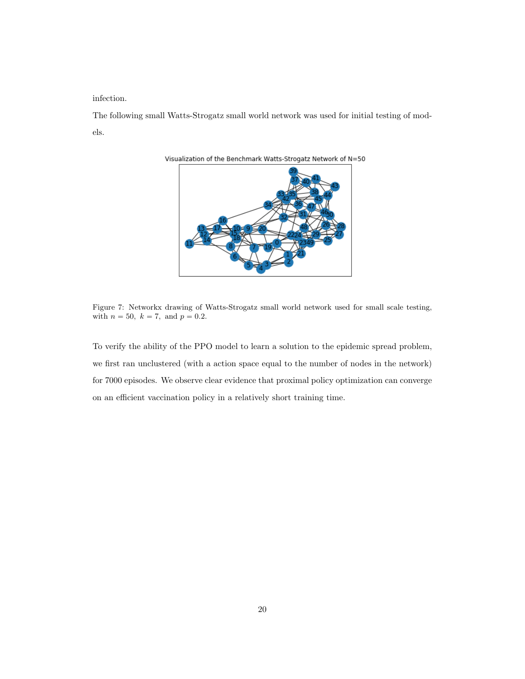infection.

The following small Watts-Strogatz small world network was used for initial testing of models.



Figure 7: Networkx drawing of Watts-Strogatz small world network used for small scale testing, with  $n = 50$ ,  $k = 7$ , and  $p = 0.2$ .

To verify the ability of the PPO model to learn a solution to the epidemic spread problem, we first ran unclustered (with a action space equal to the number of nodes in the network) for 7000 episodes. We observe clear evidence that proximal policy optimization can converge on an efficient vaccination policy in a relatively short training time.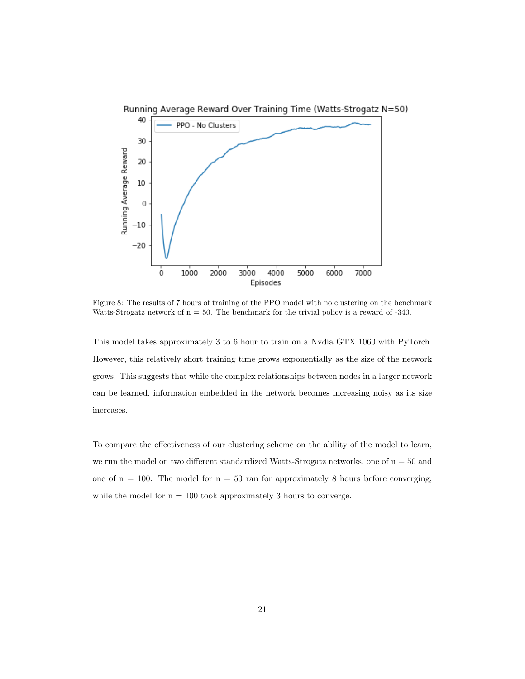

Figure 8: The results of 7 hours of training of the PPO model with no clustering on the benchmark Watts-Strogatz network of  $n = 50$ . The benchmark for the trivial policy is a reward of  $-340$ .

This model takes approximately 3 to 6 hour to train on a Nvdia GTX 1060 with PyTorch. However, this relatively short training time grows exponentially as the size of the network grows. This suggests that while the complex relationships between nodes in a larger network can be learned, information embedded in the network becomes increasing noisy as its size increases.

To compare the effectiveness of our clustering scheme on the ability of the model to learn, we run the model on two different standardized Watts-Strogatz networks, one of  $n = 50$  and one of  $n = 100$ . The model for  $n = 50$  ran for approximately 8 hours before converging, while the model for  $n = 100$  took approximately 3 hours to converge.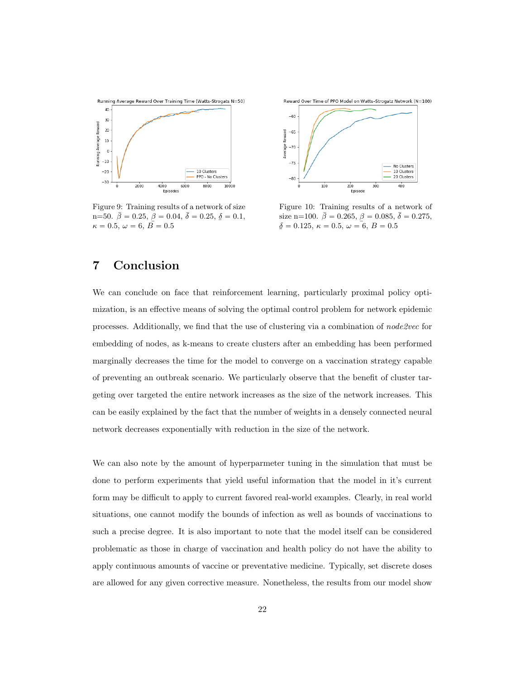

Figure 9: Training results of a network of size  $n=50. \bar{\beta}=0.25, \bar{\beta}=0.04, \bar{\delta}=0.25, \bar{\delta}=0.1,$  $\kappa = 0.5, \ \omega = 6, \ \overline{B} = 0.5$ 



Figure 10: Training results of a network of size n=100.  $\bar{\beta} = 0.265, \beta = 0.085, \bar{\delta} = 0.275,$ ¯  $\delta = 0.125, \, \kappa = 0.5, \, \omega = 6, \, B = 0.5$ 

## 7 Conclusion

We can conclude on face that reinforcement learning, particularly proximal policy optimization, is an effective means of solving the optimal control problem for network epidemic processes. Additionally, we find that the use of clustering via a combination of node2vec for embedding of nodes, as k-means to create clusters after an embedding has been performed marginally decreases the time for the model to converge on a vaccination strategy capable of preventing an outbreak scenario. We particularly observe that the benefit of cluster targeting over targeted the entire network increases as the size of the network increases. This can be easily explained by the fact that the number of weights in a densely connected neural network decreases exponentially with reduction in the size of the network.

We can also note by the amount of hyperparmeter tuning in the simulation that must be done to perform experiments that yield useful information that the model in it's current form may be difficult to apply to current favored real-world examples. Clearly, in real world situations, one cannot modify the bounds of infection as well as bounds of vaccinations to such a precise degree. It is also important to note that the model itself can be considered problematic as those in charge of vaccination and health policy do not have the ability to apply continuous amounts of vaccine or preventative medicine. Typically, set discrete doses are allowed for any given corrective measure. Nonetheless, the results from our model show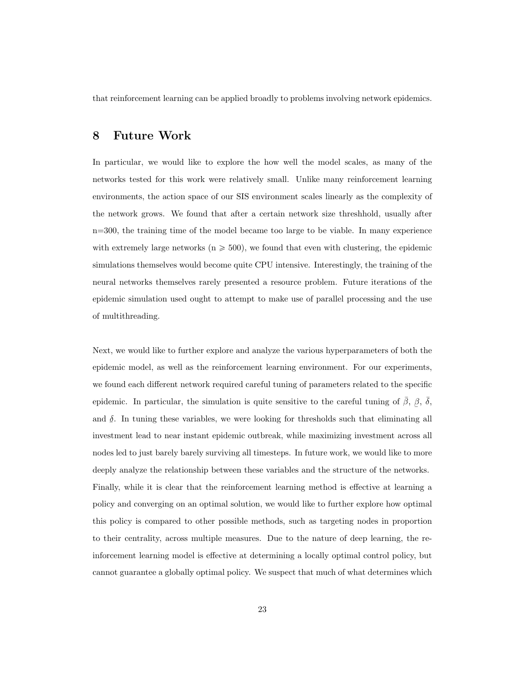that reinforcement learning can be applied broadly to problems involving network epidemics.

### 8 Future Work

In particular, we would like to explore the how well the model scales, as many of the networks tested for this work were relatively small. Unlike many reinforcement learning environments, the action space of our SIS environment scales linearly as the complexity of the network grows. We found that after a certain network size threshhold, usually after n=300, the training time of the model became too large to be viable. In many experience with extremely large networks ( $n \geq 500$ ), we found that even with clustering, the epidemic simulations themselves would become quite CPU intensive. Interestingly, the training of the neural networks themselves rarely presented a resource problem. Future iterations of the epidemic simulation used ought to attempt to make use of parallel processing and the use of multithreading.

Next, we would like to further explore and analyze the various hyperparameters of both the epidemic model, as well as the reinforcement learning environment. For our experiments, we found each different network required careful tuning of parameters related to the specific epidemic. In particular, the simulation is quite sensitive to the careful tuning of  $\bar{\beta}$ ,  $\overline{a}$  $β, \overline{δ},$ and  $\delta$ . In tuning these variables, we were looking for thresholds such that eliminating all investment lead to near instant epidemic outbreak, while maximizing investment across all nodes led to just barely barely surviving all timesteps. In future work, we would like to more deeply analyze the relationship between these variables and the structure of the networks. Finally, while it is clear that the reinforcement learning method is effective at learning a policy and converging on an optimal solution, we would like to further explore how optimal this policy is compared to other possible methods, such as targeting nodes in proportion to their centrality, across multiple measures. Due to the nature of deep learning, the reinforcement learning model is effective at determining a locally optimal control policy, but cannot guarantee a globally optimal policy. We suspect that much of what determines which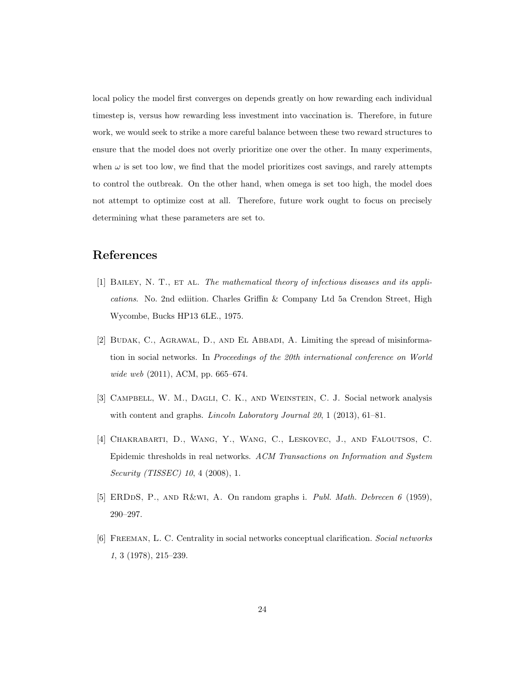local policy the model first converges on depends greatly on how rewarding each individual timestep is, versus how rewarding less investment into vaccination is. Therefore, in future work, we would seek to strike a more careful balance between these two reward structures to ensure that the model does not overly prioritize one over the other. In many experiments, when  $\omega$  is set too low, we find that the model prioritizes cost savings, and rarely attempts to control the outbreak. On the other hand, when omega is set too high, the model does not attempt to optimize cost at all. Therefore, future work ought to focus on precisely determining what these parameters are set to.

## References

- [1] BAILEY, N. T., ET AL. The mathematical theory of infectious diseases and its applications. No. 2nd ediition. Charles Griffin & Company Ltd 5a Crendon Street, High Wycombe, Bucks HP13 6LE., 1975.
- [2] BUDAK, C., AGRAWAL, D., AND EL ABBADI, A. Limiting the spread of misinformation in social networks. In Proceedings of the 20th international conference on World wide web (2011), ACM, pp. 665–674.
- [3] Campbell, W. M., Dagli, C. K., and Weinstein, C. J. Social network analysis with content and graphs. *Lincoln Laboratory Journal 20*, 1 (2013), 61–81.
- [4] Chakrabarti, D., Wang, Y., Wang, C., Leskovec, J., and Faloutsos, C. Epidemic thresholds in real networks. ACM Transactions on Information and System Security (TISSEC) 10, 4 (2008), 1.
- [5] ERDDS, P., AND R&WI, A. On random graphs i. *Publ. Math. Debrecen 6* (1959), 290–297.
- [6] Freeman, L. C. Centrality in social networks conceptual clarification. Social networks 1, 3 (1978), 215–239.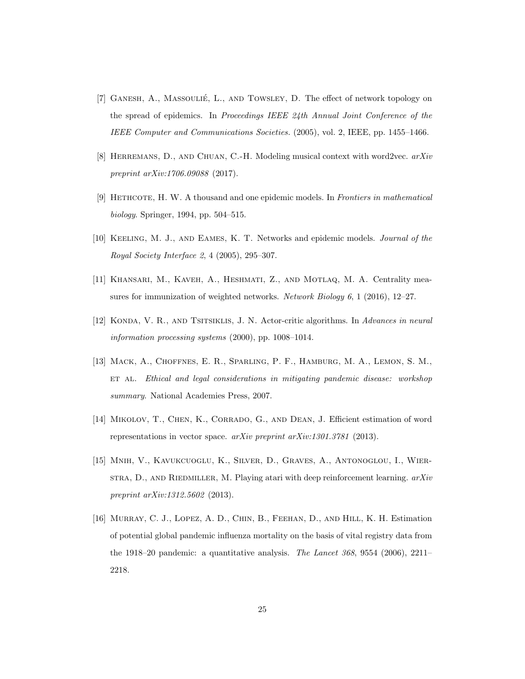- [7] GANESH, A., MASSOULIÉ, L., AND TOWSLEY, D. The effect of network topology on the spread of epidemics. In Proceedings IEEE 24th Annual Joint Conference of the IEEE Computer and Communications Societies. (2005), vol. 2, IEEE, pp. 1455–1466.
- [8] HERREMANS, D., AND CHUAN, C.-H. Modeling musical context with word2vec.  $arXiv$ preprint arXiv:1706.09088 (2017).
- [9] Hethcote, H. W. A thousand and one epidemic models. In Frontiers in mathematical biology. Springer, 1994, pp. 504–515.
- [10] Keeling, M. J., and Eames, K. T. Networks and epidemic models. Journal of the Royal Society Interface 2, 4 (2005), 295–307.
- [11] Khansari, M., Kaveh, A., Heshmati, Z., and Motlaq, M. A. Centrality measures for immunization of weighted networks. Network Biology 6, 1 (2016), 12–27.
- [12] KONDA, V. R., AND TSITSIKLIS, J. N. Actor-critic algorithms. In Advances in neural information processing systems (2000), pp. 1008–1014.
- [13] Mack, A., Choffnes, E. R., Sparling, P. F., Hamburg, M. A., Lemon, S. M., ET AL. Ethical and legal considerations in mitigating pandemic disease: workshop summary. National Academies Press, 2007.
- [14] Mikolov, T., Chen, K., Corrado, G., and Dean, J. Efficient estimation of word representations in vector space.  $arXiv$  preprint  $arXiv:1301.3781$  (2013).
- [15] Mnih, V., Kavukcuoglu, K., Silver, D., Graves, A., Antonoglou, I., Wier- $STRA, D., AND RIEDMILLER, M. Playing atari with deep reinforcement learning.  $arXiv$$ preprint arXiv:1312.5602 (2013).
- [16] Murray, C. J., Lopez, A. D., Chin, B., Feehan, D., and Hill, K. H. Estimation of potential global pandemic influenza mortality on the basis of vital registry data from the 1918–20 pandemic: a quantitative analysis. The Lancet 368, 9554 (2006), 2211– 2218.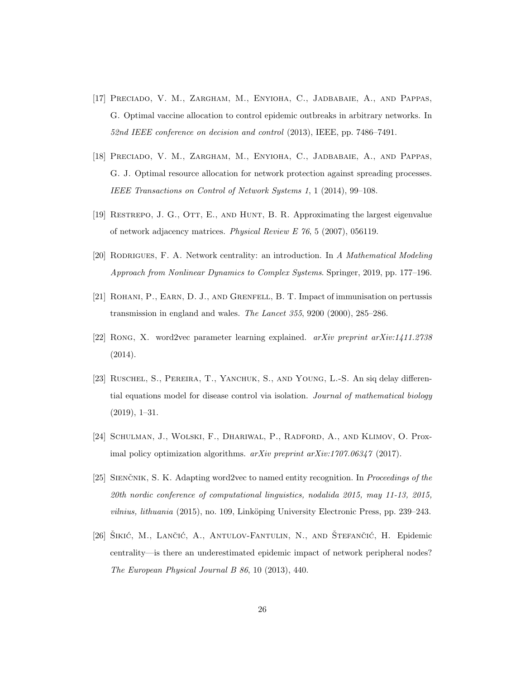- [17] Preciado, V. M., Zargham, M., Enyioha, C., Jadbabaie, A., and Pappas, G. Optimal vaccine allocation to control epidemic outbreaks in arbitrary networks. In 52nd IEEE conference on decision and control (2013), IEEE, pp. 7486–7491.
- [18] Preciado, V. M., Zargham, M., Enyioha, C., Jadbabaie, A., and Pappas, G. J. Optimal resource allocation for network protection against spreading processes. IEEE Transactions on Control of Network Systems 1, 1 (2014), 99–108.
- [19] Restrepo, J. G., Ott, E., and Hunt, B. R. Approximating the largest eigenvalue of network adjacency matrices. Physical Review E 76, 5 (2007), 056119.
- [20] RODRIGUES, F. A. Network centrality: an introduction. In A Mathematical Modeling Approach from Nonlinear Dynamics to Complex Systems. Springer, 2019, pp. 177–196.
- [21] Rohani, P., Earn, D. J., and Grenfell, B. T. Impact of immunisation on pertussis transmission in england and wales. The Lancet 355, 9200 (2000), 285–286.
- [22] Rong, X. word2vec parameter learning explained. arXiv preprint arXiv:1411.2738 (2014).
- [23] Ruschel, S., Pereira, T., Yanchuk, S., and Young, L.-S. An siq delay differential equations model for disease control via isolation. Journal of mathematical biology (2019), 1–31.
- [24] Schulman, J., Wolski, F., Dhariwal, P., Radford, A., and Klimov, O. Proximal policy optimization algorithms.  $arXiv$  preprint  $arXiv:1707.06347$  (2017).
- [25] SIENCNIK, S. K. Adapting word2vec to named entity recognition. In Proceedings of the 20th nordic conference of computational linguistics, nodalida 2015, may 11-13, 2015, *vilnius, lithuania* (2015), no. 109, Linköping University Electronic Press, pp. 239–243.
- [26] ŠIKIĆ, M., LANČIĆ, A., ANTULOV-FANTULIN, N., AND ŠTEFANČIĆ, H. Epidemic centrality—is there an underestimated epidemic impact of network peripheral nodes? The European Physical Journal B 86, 10 (2013), 440.